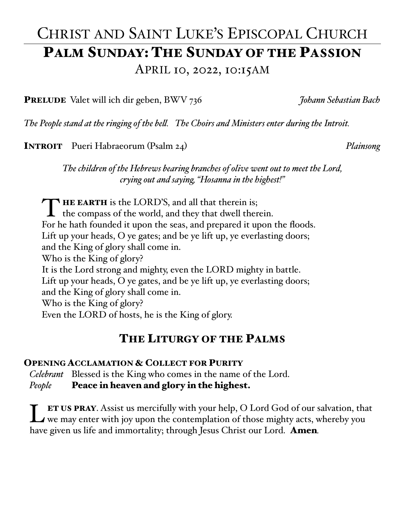# CHRIST AND SAINT LUKE'S EPISCOPAL CHURCH PALM SUNDAY: THE SUNDAY OF THE PASSION APRIL 10, 2022, 10:15AM

PRELUDE Valet will ich dir geben, BWV 736 *Johann Sebastian Bach*

*The People stand at the ringing of the bell. The Choirs and Ministers enter during the Introit.*

INTROIT Pueri Habraeorum (Psalm 24) *Plainsong*

*The children of the Hebrews bearing branches of olive went out to meet the Lord, crying out and saying, "Hosanna in the highest!"*

THE EARTH is the LORD'S, and all that therein is;<br>the compass of the world, and they that dwell therein. For he hath founded it upon the seas, and prepared it upon the floods. Lift up your heads, O ye gates; and be ye lift up, ye everlasting doors; and the King of glory shall come in. Who is the King of glory? It is the Lord strong and mighty, even the LORD mighty in battle. Lift up your heads, O ye gates, and be ye lift up, ye everlasting doors; and the King of glory shall come in. Who is the King of glory? Even the LORD of hosts, he is the King of glory.

# THE LITURGY OF THE PALMS

### OPENING ACCLAMATION & COLLECT FOR PURITY

 *Celebrant* Blessed is the King who comes in the name of the Lord. *People* Peace in heaven and glory in the highest.

**LET US PRAY.** Assist us mercifully with your help, O Lord God of our salvation, that we may enter with joy upon the contemplation of those mighty acts, whereby you have given us life and immortality; through Jesus Christ our Lord. Amen*.*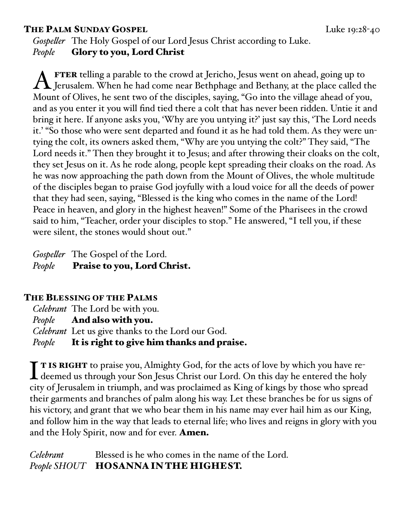### THE PALM SUNDAY GOSPEL Luke 19:28-40

Gospeller The Holy Gospel of our Lord Jesus Christ according to Luke. *People* Glory to you, Lord Christ

**A FTER** telling a parable to the crowd at Jericho, Jesus went on ahead, going up to Jerusalem. When he had come near Bethphage and Bethany, at the place called the Mount of Olives, he sent two of the disciples, saying, "Go into the village ahead of you, and as you enter it you will find tied there a colt that has never been ridden. Untie it and bring it here. If anyone asks you, 'Why are you untying it?' just say this, 'The Lord needs it.' "So those who were sent departed and found it as he had told them. As they were untying the colt, its owners asked them, "Why are you untying the colt?" They said, "The Lord needs it." Then they brought it to Jesus; and after throwing their cloaks on the colt, they set Jesus on it. As he rode along, people kept spreading their cloaks on the road. As he was now approaching the path down from the Mount of Olives, the whole multitude of the disciples began to praise God joyfully with a loud voice for all the deeds of power that they had seen, saying, "Blessed is the king who comes in the name of the Lord! Peace in heaven, and glory in the highest heaven!" Some of the Pharisees in the crowd said to him, "Teacher, order your disciples to stop." He answered, "I tell you, if these were silent, the stones would shout out."

*Gospeller* The Gospel of the Lord. People Praise to you, Lord Christ.

### THE BLESSING OF THE PALMS

*Celebrant* The Lord be with you. *People* And also with you. *Celebrant* Let us give thanks to the Lord our God. *People* It is right to give him thanks and praise.

IT IS RIGHT to praise you, Almighty God, for the acts of love by which you have re-<br>deemed us through your Son Jesus Christ our Lord. On this day he entered the holy city of Jerusalem in triumph, and was proclaimed as King of kings by those who spread their garments and branches of palm along his way. Let these branches be for us signs of his victory, and grant that we who bear them in his name may ever hail him as our King, and follow him in the way that leads to eternal life; who lives and reigns in glory with you and the Holy Spirit, now and for ever. **Amen.** 

*Celebrant* Blessed is he who comes in the name of the Lord. People SHOUT **HOSANNA IN THE HIGHEST.**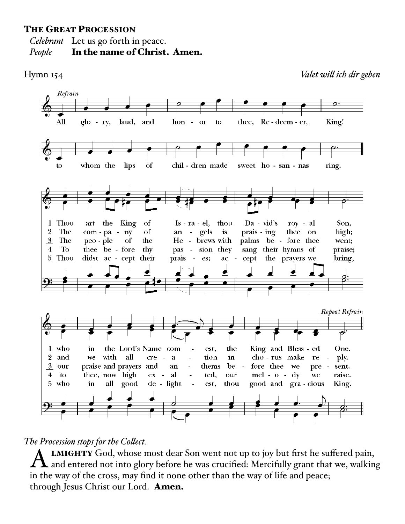### THE GREAT PROCESSION

*Celebrant* Let us go forth in peace. *People* In the name of Christ. Amen.

Hymn 154 *Valet will ich dir geben* Refrain All  $g$ lo - ry, laud, and hon - or to thee, Re-deem-er, King! lips of chil - dren made  $\mathbf{t}$ whom the sweet ho - san - nas ring. Thou of  $Is - ra - el$ , thou Da - vid's 1 art the King roy - al Son,  $\overline{2}$ com - pa - ny an - gels The of prais - ing thee on high;  $\mathbf{is}$ 3 The peo - ple the He - brews with palms be - fore thee went; of To thee be - fore sang their hymns of  $\overline{4}$ thy pas - sion they praise; 5 Thou didst ac - cept their prais es;  $ac$ cept the prayers we bring, ▰ Repeat Refrain the Lord's Name com 1 who the King and Bless - ed One.  $\mathbf{m}$ est,  $\overline{2}$ cho - rus make and we with all cre  $- a$ tion in  $re$ ply.  $\overline{\phantom{a}}$  $\frac{3}{2}$  our pre praise and prayers and an thems be fore thee we sent.  $\overline{4}$ to thee, now high  $ex$ - al ted, our  $mel - o - dy$ we raise.  $\overline{a}$ de - light 5 who  $\mathbf{in}$ all good est, thou good and gra-cious King.

# *The Procession stops for the Collect.*

ALMIGHTY God, whose most dear Son went not up to joy but first he suffered pain,<br>and entered not into glory before he was crucified: Mercifully grant that we, walking in the way of the cross, may find it none other than the way of life and peace; through Jesus Christ our Lord. Amen.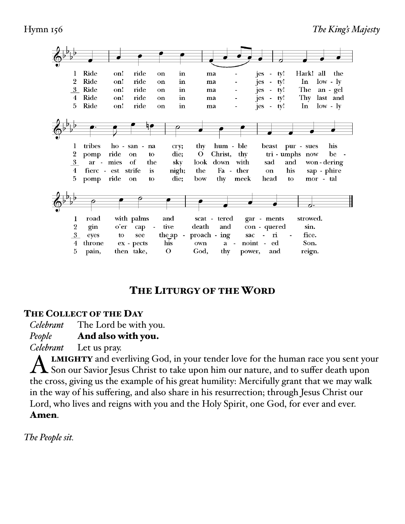

# THE LITURGY OF THE WORD

### THE COLLECT OF THE DAY

*Celebrant* The Lord be with you.

### *People* And also with you.

*Celebrant* Let us pray.

LMIGHTY and everliving God, in your tender love for the human race you sent your Son our Savior Jesus Christ to take upon him our nature, and to suffer death upon the cross, giving us the example of his great humility: Mercifully grant that we may walk in the way of his suffering, and also share in his resurrection; through Jesus Christ our Lord, who lives and reigns with you and the Holy Spirit, one God, for ever and ever. Amen.

*The People sit.*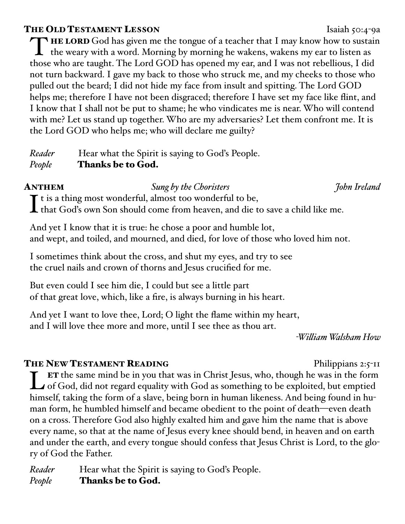### THE OLD TESTAMENT LESSON Isaiah 50:4-9a

T HE LORD God has given me the tongue of a teacher that I may know how to sustain<br>the weary with a word. Morning by morning he wakens, wakens my ear to listen as those who are taught. The Lord GOD has opened my ear, and I was not rebellious, I did not turn backward. I gave my back to those who struck me, and my cheeks to those who pulled out the beard; I did not hide my face from insult and spitting. The Lord GOD helps me; therefore I have not been disgraced; therefore I have set my face like flint, and I know that I shall not be put to shame; he who vindicates me is near. Who will contend with me? Let us stand up together. Who are my adversaries? Let them confront me. It is the Lord GOD who helps me; who will declare me guilty?

*Reader* Hear what the Spirit is saying to God's People. *People* Thanks be to God.

ANTHEM *Sung by the Choristers John Ireland*

 $\mathbf T$  t is a thing most wonderful, almost too wonderful to be, **L** that God's own Son should come from heaven, and die to save a child like me.

And yet I know that it is true: he chose a poor and humble lot, and wept, and toiled, and mourned, and died, for love of those who loved him not.

I sometimes think about the cross, and shut my eyes, and try to see the cruel nails and crown of thorns and Jesus crucified for me.

But even could I see him die, I could but see a little part of that great love, which, like a fire, is always burning in his heart.

And yet I want to love thee, Lord; O light the flame within my heart, and I will love thee more and more, until I see thee as thou art.

*-William Walsham How*

### THE NEW TESTAMENT READING Philippians 2:5-11

ET the same mind be in you that was in Christ Jesus, who, though he was in the form of God, did not regard equality with God as something to be exploited, but emptied himself, taking the form of a slave, being born in human likeness. And being found in human form, he humbled himself and became obedient to the point of death—even death on a cross. Therefore God also highly exalted him and gave him the name that is above every name, so that at the name of Jesus every knee should bend, in heaven and on earth and under the earth, and every tongue should confess that Jesus Christ is Lord, to the glory of God the Father.

*Reader* Hear what the Spirit is saying to God's People. *People* Thanks be to God.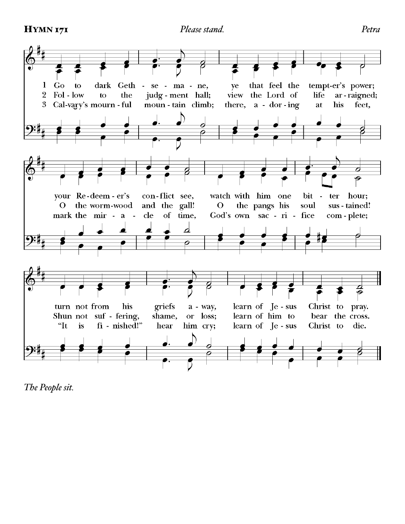HYMN 171 *Please stand. Petra*



*The People sit.*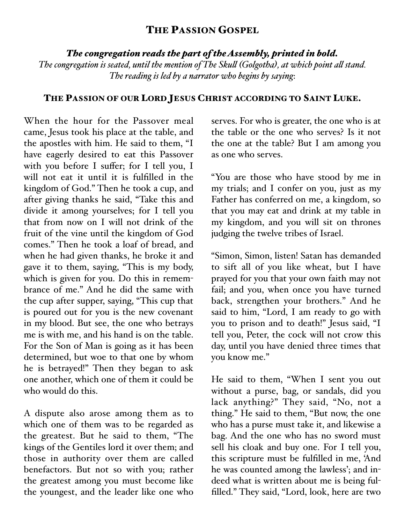### THE PASSION GOSPEL

*The congregation reads the part of the Assembly, printed in bold.*

*The congregation is seated, until the mention of The Skull (Golgotha), at which point all stand. The reading is led by a narrator who begins by saying*:

### THE PASSION OF OUR LORD JESUS CHRIST ACCORDING TO SAINT LUKE.

When the hour for the Passover meal came, Jesus took his place at the table, and the apostles with him. He said to them, "I have eagerly desired to eat this Passover with you before I suffer; for I tell you, I will not eat it until it is fulfilled in the kingdom of God." Then he took a cup, and after giving thanks he said, "Take this and divide it among yourselves; for I tell you that from now on I will not drink of the fruit of the vine until the kingdom of God comes." Then he took a loaf of bread, and when he had given thanks, he broke it and gave it to them, saying, "This is my body, which is given for you. Do this in remembrance of me." And he did the same with the cup after supper, saying, "This cup that is poured out for you is the new covenant in my blood. But see, the one who betrays me is with me, and his hand is on the table. For the Son of Man is going as it has been determined, but woe to that one by whom he is betrayed!" Then they began to ask one another, which one of them it could be who would do this.

A dispute also arose among them as to which one of them was to be regarded as the greatest. But he said to them, "The kings of the Gentiles lord it over them; and those in authority over them are called benefactors. But not so with you; rather the greatest among you must become like the youngest, and the leader like one who serves. For who is greater, the one who is at the table or the one who serves? Is it not the one at the table? But I am among you as one who serves.

"You are those who have stood by me in my trials; and I confer on you, just as my Father has conferred on me, a kingdom, so that you may eat and drink at my table in my kingdom, and you will sit on thrones judging the twelve tribes of Israel.

"Simon, Simon, listen! Satan has demanded to sift all of you like wheat, but I have prayed for you that your own faith may not fail; and you, when once you have turned back, strengthen your brothers." And he said to him, "Lord, I am ready to go with you to prison and to death!" Jesus said, "I tell you, Peter, the cock will not crow this day, until you have denied three times that you know me."

He said to them, "When I sent you out without a purse, bag, or sandals, did you lack anything?" They said, "No, not a thing." He said to them, "But now, the one who has a purse must take it, and likewise a bag. And the one who has no sword must sell his cloak and buy one. For I tell you, this scripture must be fulfilled in me, 'And he was counted among the lawless'; and indeed what is written about me is being fulfilled." They said, "Lord, look, here are two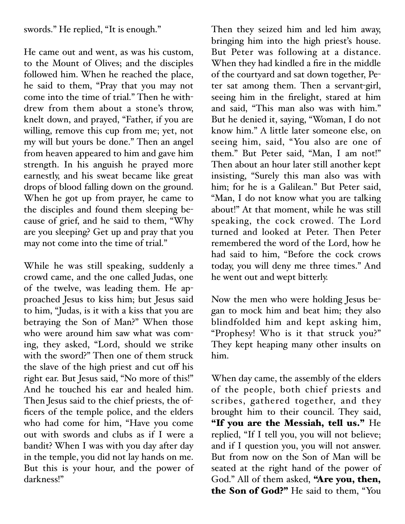swords." He replied, "It is enough."

He came out and went, as was his custom, to the Mount of Olives; and the disciples followed him. When he reached the place, he said to them, "Pray that you may not come into the time of trial." Then he withdrew from them about a stone's throw, knelt down, and prayed, "Father, if you are willing, remove this cup from me; yet, not my will but yours be done." Then an angel from heaven appeared to him and gave him strength. In his anguish he prayed more earnestly, and his sweat became like great drops of blood falling down on the ground. When he got up from prayer, he came to the disciples and found them sleeping because of grief, and he said to them, "Why are you sleeping? Get up and pray that you may not come into the time of trial."

While he was still speaking, suddenly a crowd came, and the one called Judas, one of the twelve, was leading them. He approached Jesus to kiss him; but Jesus said to him, "Judas, is it with a kiss that you are betraying the Son of Man?" When those who were around him saw what was coming, they asked, "Lord, should we strike with the sword?" Then one of them struck the slave of the high priest and cut off his right ear. But Jesus said, "No more of this!" And he touched his ear and healed him. Then Jesus said to the chief priests, the officers of the temple police, and the elders who had come for him, "Have you come out with swords and clubs as if I were a bandit? When I was with you day after day in the temple, you did not lay hands on me. But this is your hour, and the power of darkness!"

Then they seized him and led him away, bringing him into the high priest's house. But Peter was following at a distance. When they had kindled a fire in the middle of the courtyard and sat down together, Peter sat among them. Then a servant-girl, seeing him in the firelight, stared at him and said, "This man also was with him." But he denied it, saying, "Woman, I do not know him." A little later someone else, on seeing him, said, "You also are one of them." But Peter said, "Man, I am not!" Then about an hour later still another kept insisting, "Surely this man also was with him; for he is a Galilean." But Peter said, "Man, I do not know what you are talking about!" At that moment, while he was still speaking, the cock crowed. The Lord turned and looked at Peter. Then Peter remembered the word of the Lord, how he had said to him, "Before the cock crows today, you will deny me three times." And he went out and wept bitterly.

Now the men who were holding Jesus began to mock him and beat him; they also blindfolded him and kept asking him, "Prophesy! Who is it that struck you?" They kept heaping many other insults on him.

When day came, the assembly of the elders of the people, both chief priests and scribes, gathered together, and they brought him to their council. They said, "If you are the Messiah, tell us." He replied, "If I tell you, you will not believe; and if I question you, you will not answer. But from now on the Son of Man will be seated at the right hand of the power of God." All of them asked, "Are you, then, the Son of God?" He said to them, "You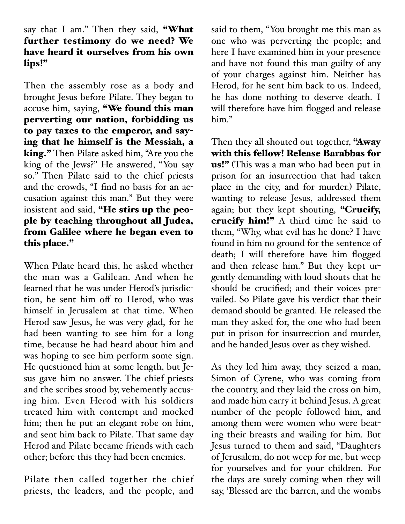say that I am." Then they said, "What further testimony do we need? We have heard it ourselves from his own lips!"

Then the assembly rose as a body and brought Jesus before Pilate. They began to accuse him, saying, "We found this man perverting our nation, forbidding us to pay taxes to the emperor, and saying that he himself is the Messiah, a king." Then Pilate asked him, "Are you the king of the Jews?" He answered, "You say so." Then Pilate said to the chief priests and the crowds, "I find no basis for an accusation against this man." But they were insistent and said, "He stirs up the people by teaching throughout all Judea, from Galilee where he began even to this place."

When Pilate heard this, he asked whether the man was a Galilean. And when he learned that he was under Herod's jurisdiction, he sent him off to Herod, who was himself in Jerusalem at that time. When Herod saw Jesus, he was very glad, for he had been wanting to see him for a long time, because he had heard about him and was hoping to see him perform some sign. He questioned him at some length, but Jesus gave him no answer. The chief priests and the scribes stood by, vehemently accusing him. Even Herod with his soldiers treated him with contempt and mocked him; then he put an elegant robe on him, and sent him back to Pilate. That same day Herod and Pilate became friends with each other; before this they had been enemies.

Pilate then called together the chief priests, the leaders, and the people, and

said to them, "You brought me this man as one who was perverting the people; and here I have examined him in your presence and have not found this man guilty of any of your charges against him. Neither has Herod, for he sent him back to us. Indeed, he has done nothing to deserve death. I will therefore have him flogged and release him."

Then they all shouted out together, "Away with this fellow! Release Barabbas for us!" (This was a man who had been put in prison for an insurrection that had taken place in the city, and for murder.) Pilate, wanting to release Jesus, addressed them again; but they kept shouting, "Crucify, crucify him!" A third time he said to them, "Why, what evil has he done? I have found in him no ground for the sentence of death; I will therefore have him flogged and then release him." But they kept urgently demanding with loud shouts that he should be crucified; and their voices prevailed. So Pilate gave his verdict that their demand should be granted. He released the man they asked for, the one who had been put in prison for insurrection and murder, and he handed Jesus over as they wished.

As they led him away, they seized a man, Simon of Cyrene, who was coming from the country, and they laid the cross on him, and made him carry it behind Jesus. A great number of the people followed him, and among them were women who were beating their breasts and wailing for him. But Jesus turned to them and said, "Daughters of Jerusalem, do not weep for me, but weep for yourselves and for your children. For the days are surely coming when they will say, 'Blessed are the barren, and the wombs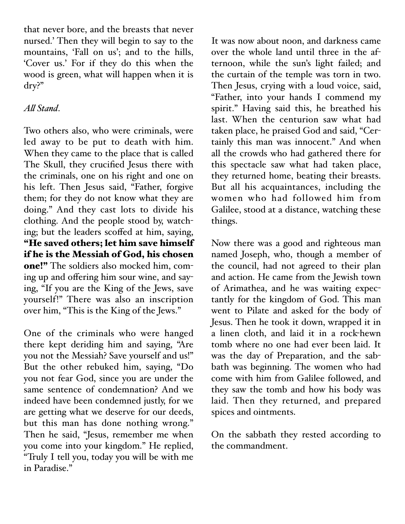that never bore, and the breasts that never nursed.' Then they will begin to say to the mountains, 'Fall on us'; and to the hills, 'Cover us.' For if they do this when the wood is green, what will happen when it is dry?"

# *All Stand*.

Two others also, who were criminals, were led away to be put to death with him. When they came to the place that is called The Skull, they crucified Jesus there with the criminals, one on his right and one on his left. Then Jesus said, "Father, forgive them; for they do not know what they are doing." And they cast lots to divide his clothing. And the people stood by, watching; but the leaders scoffed at him, saying, "He saved others; let him save himself if he is the Messiah of God, his chosen one!" The soldiers also mocked him, coming up and offering him sour wine, and saying, "If you are the King of the Jews, save yourself!" There was also an inscription over him, "This is the King of the Jews."

One of the criminals who were hanged there kept deriding him and saying, "Are you not the Messiah? Save yourself and us!" But the other rebuked him, saying, "Do you not fear God, since you are under the same sentence of condemnation? And we indeed have been condemned justly, for we are getting what we deserve for our deeds, but this man has done nothing wrong." Then he said, "Jesus, remember me when you come into your kingdom." He replied, "Truly I tell you, today you will be with me in Paradise."

It was now about noon, and darkness came over the whole land until three in the afternoon, while the sun's light failed; and the curtain of the temple was torn in two. Then Jesus, crying with a loud voice, said, "Father, into your hands I commend my spirit." Having said this, he breathed his last. When the centurion saw what had taken place, he praised God and said, "Certainly this man was innocent." And when all the crowds who had gathered there for this spectacle saw what had taken place, they returned home, beating their breasts. But all his acquaintances, including the women who had followed him from Galilee, stood at a distance, watching these things.

Now there was a good and righteous man named Joseph, who, though a member of the council, had not agreed to their plan and action. He came from the Jewish town of Arimathea, and he was waiting expectantly for the kingdom of God. This man went to Pilate and asked for the body of Jesus. Then he took it down, wrapped it in a linen cloth, and laid it in a rock-hewn tomb where no one had ever been laid. It was the day of Preparation, and the sabbath was beginning. The women who had come with him from Galilee followed, and they saw the tomb and how his body was laid. Then they returned, and prepared spices and ointments.

On the sabbath they rested according to the commandment.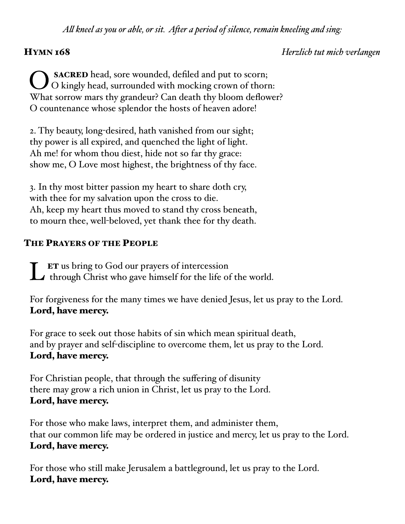*All kneel as you or able, or sit. After a period of silence, remain kneeling and sing:*

# HYMN 168 *Herzlich tut mich verlangen*

O SACRED head, sore wounded, defiled and put to scorn;<br>O kingly head, surrounded with mocking crown of thorn: What sorrow mars thy grandeur? Can death thy bloom deflower? O countenance whose splendor the hosts of heaven adore!

2. Thy beauty, long-desired, hath vanished from our sight; thy power is all expired, and quenched the light of light. Ah me! for whom thou diest, hide not so far thy grace: show me, O Love most highest, the brightness of thy face.

3. In thy most bitter passion my heart to share doth cry, with thee for my salvation upon the cross to die. Ah, keep my heart thus moved to stand thy cross beneath, to mourn thee, well-beloved, yet thank thee for thy death.

# THE PRAYERS OF THE PEOPLE

LET us bring to God our prayers of intercession<br>through Christ who gave himself for the life of the world.

For forgiveness for the many times we have denied Jesus, let us pray to the Lord. Lord, have mercy.

For grace to seek out those habits of sin which mean spiritual death, and by prayer and self-discipline to overcome them, let us pray to the Lord. Lord, have mercy.

For Christian people, that through the suffering of disunity there may grow a rich union in Christ, let us pray to the Lord. Lord, have mercy.

For those who make laws, interpret them, and administer them, that our common life may be ordered in justice and mercy, let us pray to the Lord. Lord, have mercy.

For those who still make Jerusalem a battleground, let us pray to the Lord. Lord, have mercy.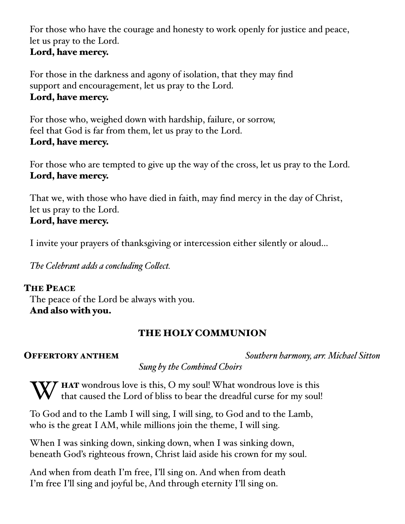For those who have the courage and honesty to work openly for justice and peace, let us pray to the Lord.

# Lord, have mercy.

For those in the darkness and agony of isolation, that they may find support and encouragement, let us pray to the Lord. Lord, have mercy.

For those who, weighed down with hardship, failure, or sorrow, feel that God is far from them, let us pray to the Lord. Lord, have mercy.

For those who are tempted to give up the way of the cross, let us pray to the Lord. Lord, have mercy.

That we, with those who have died in faith, may find mercy in the day of Christ, let us pray to the Lord.

# Lord, have mercy.

I invite your prayers of thanksgiving or intercession either silently or aloud…

*The Celebrant adds a concluding Collect.*

# THE PEACE

The peace of the Lord be always with you. And also with you.

# THE HOLY COMMUNION

OFFERTORY ANTHEM *Southern harmony, arr. Michael Sitton*

*Sung by the Combined Choirs*

 $\boldsymbol{V}$  HAT wondrous love is this, O my soul! What wondrous love is this that caused the Lord of bliss to bear the dreadful curse for my soul!

To God and to the Lamb I will sing, I will sing, to God and to the Lamb, who is the great I AM, while millions join the theme, I will sing.

When I was sinking down, sinking down, when I was sinking down, beneath God's righteous frown, Christ laid aside his crown for my soul.

And when from death I'm free, I'll sing on. And when from death I'm free I'll sing and joyful be, And through eternity I'll sing on.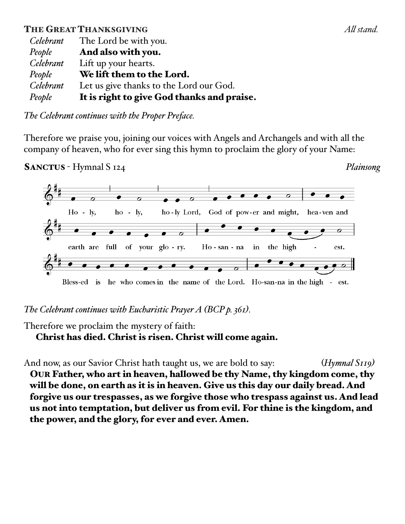|           | THE GREAT THANKSGIVING                     | All stand. |
|-----------|--------------------------------------------|------------|
|           | Celebrant The Lord be with you.            |            |
| People    | And also with you.                         |            |
| Celebrant | Lift up your hearts.                       |            |
| People    | We lift them to the Lord.                  |            |
| Celebrant | Let us give thanks to the Lord our God.    |            |
| People    | It is right to give God thanks and praise. |            |

*The Celebrant continues with the Proper Preface.*

Therefore we praise you, joining our voices with Angels and Archangels and with all the company of heaven, who for ever sing this hymn to proclaim the glory of your Name:

SANCTUS - Hymnal S 124 *Plainsong*



*The Celebrant continues with Eucharistic Prayer A (BCP p. 361).*

Therefore we proclaim the mystery of faith: Christ has died. Christ is risen. Christ will come again.

And now, as our Savior Christ hath taught us, we are bold to say: (*Hymnal S119)* OUR Father, who art in heaven, hallowed be thy Name, thy kingdom come, thy will be done, on earth as it is in heaven. Give us this day our daily bread. And forgive us our trespasses, as we forgive those who trespass against us. And lead us not into temptation, but deliver us from evil. For thine is the kingdom, and the power, and the glory, for ever and ever. Amen.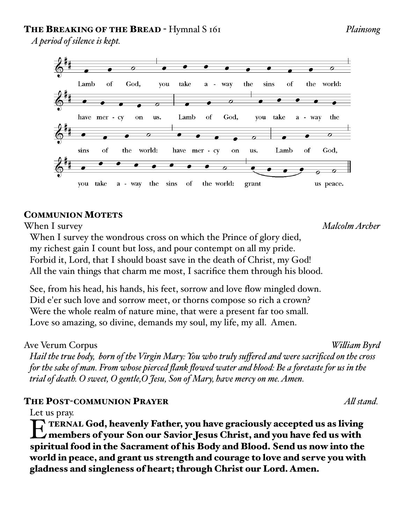### THE BREAKING OF THE BREAD - Hymnal S 161 *Plainsong*

 *A period of silence is kept.*



### COMMUNION MOTETS

When I survey the wondrous cross on which the Prince of glory died, my richest gain I count but loss, and pour contempt on all my pride. Forbid it, Lord, that I should boast save in the death of Christ, my God! All the vain things that charm me most, I sacrifice them through his blood.

See, from his head, his hands, his feet, sorrow and love flow mingled down. Did e'er such love and sorrow meet, or thorns compose so rich a crown? Were the whole realm of nature mine, that were a present far too small. Love so amazing, so divine, demands my soul, my life, my all. Amen.

Ave Verum Corpus *William Byrd*

*Hail the true body, born of the Virgin Mary: You who truly suffered and were sacrificed on the cross for the sake of man. From whose pierced flank flowed water and blood: Be a foretaste for us in the trial of death. O sweet, O gentle,O Jesu, Son of Mary, have mercy on me. Amen.*

### THE POST-COMMUNION PRAYER *All stand.*

Let us pray.

E TERNAL God, heavenly Father, you have graciously accepted us as living members of your Son our Savior Jesus Christ, and you have fed us with spiritual food in the Sacrament of his Body and Blood. Send us now into the world in peace, and grant us strength and courage to love and serve you with gladness and singleness of heart; through Christ our Lord. Amen.

When I survey *Malcolm Archer*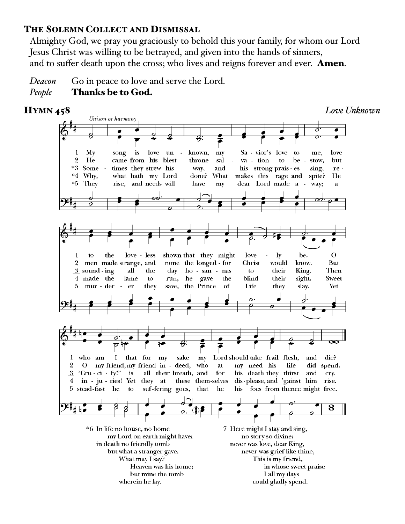### THE SOLEMN COLLECT AND DISMISSAL

Almighty God, we pray you graciously to behold this your family, for whom our Lord Jesus Christ was willing to be betrayed, and given into the hands of sinners, and to suffer death upon the cross; who lives and reigns forever and ever. **Amen.** 

*Deacon* Go in peace to love and serve the Lord.

- *People* Thanks be to God.
- 

**HYMN 458** *Love Unknown Love Unknown* Mv is love  $\mathbf{u}$ Sa - vior's love love  $\mathbf{1}$ song known, my to me,  $\overline{2}$ He va - tion came from his blest throne sal to be stow, but  $^{\ast}\mathbf{3}$ Some times they strew his way, and his strong prais - es resing, Why, spite?  $*4$ what hath my Lord done? What makes this rage and He  $*5$ They rise, and needs will have  $m<sub>V</sub>$ dear Lord made  $a$ way; a love - less shown that they might love  $1<sub>v</sub>$ be.  $\mathbf O$ 1  $\mathbf{t}$ the **But** 9 men made strange, and none the longed - for Christ would know. 3 sound - ing aЦ the day ho - san - nas their King. Then to 4 made the gave blind sight. Sweet lame to run, he the their .5 mur - der  $\mathbf{r}$ er they save, the Prince of Life they slay. Yet who am  $\mathbf I$ that for sake my Lord should take frail flesh, and die? 1 my my friend, my friend in - deed,  $\mathbf{O}$ who at my need his life did spend. his death they thirst <u>3</u> "Cru - ci - fy!" is all their breath, and for and cry.  $\overline{\mathbf{4}}$ in - ju - ries! Yet they at these them-selves dis-please, and 'gainst him rise. 5 stead-fast he  ${\bf t} {\bf o}$ suf-fering goes, that he his foes from thence might free. \*6 In life no house, no home 7 Here might I stay and sing, my Lord on earth might have; no story so divine: never was love, dear King, in death no friendly tomb but what a stranger gave. never was grief like thine, What may I say? This is my friend, Heaven was his home; in whose sweet praise I all my days

could gladly spend.

but mine the tomb wherein he lay.